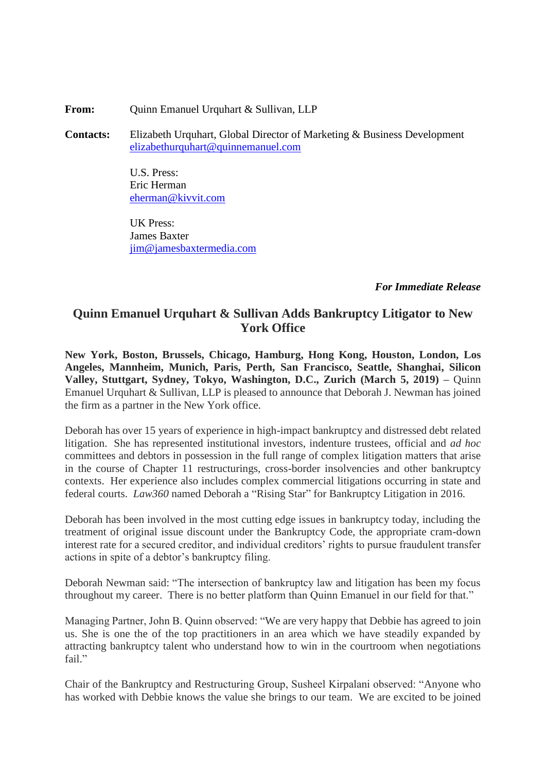**From:** Quinn Emanuel Urquhart & Sullivan, LLP

**Contacts:** Elizabeth Urquhart, Global Director of Marketing & Business Development [elizabethurquhart@quinnemanuel.com](mailto:elizabethurquhart@quinnemanuel.com)

> U.S. Press: Eric Herman [eherman@kivvit.com](mailto:eherman@kivvit.com)

UK Press: James Baxter [jim@jamesbaxtermedia.com](mailto:jim@jamesbaxtermedia.com)

## *For Immediate Release*

## **Quinn Emanuel Urquhart & Sullivan Adds Bankruptcy Litigator to New York Office**

**New York, Boston, Brussels, Chicago, Hamburg, Hong Kong, Houston, London, Los Angeles, Mannheim, Munich, Paris, Perth, San Francisco, Seattle, Shanghai, Silicon Valley, Stuttgart, Sydney, Tokyo, Washington, D.C., Zurich (March 5, 2019) –** Quinn Emanuel Urquhart & Sullivan, LLP is pleased to announce that Deborah J. Newman has joined the firm as a partner in the New York office.

Deborah has over 15 years of experience in high-impact bankruptcy and distressed debt related litigation. She has represented institutional investors, indenture trustees, official and *ad hoc*  committees and debtors in possession in the full range of complex litigation matters that arise in the course of Chapter 11 restructurings, cross-border insolvencies and other bankruptcy contexts. Her experience also includes complex commercial litigations occurring in state and federal courts. *Law360* named Deborah a "Rising Star" for Bankruptcy Litigation in 2016.

Deborah has been involved in the most cutting edge issues in bankruptcy today, including the treatment of original issue discount under the Bankruptcy Code, the appropriate cram-down interest rate for a secured creditor, and individual creditors' rights to pursue fraudulent transfer actions in spite of a debtor's bankruptcy filing.

Deborah Newman said: "The intersection of bankruptcy law and litigation has been my focus throughout my career. There is no better platform than Quinn Emanuel in our field for that."

Managing Partner, John B. Quinn observed: "We are very happy that Debbie has agreed to join us. She is one the of the top practitioners in an area which we have steadily expanded by attracting bankruptcy talent who understand how to win in the courtroom when negotiations fail."

Chair of the Bankruptcy and Restructuring Group, Susheel Kirpalani observed: "Anyone who has worked with Debbie knows the value she brings to our team. We are excited to be joined